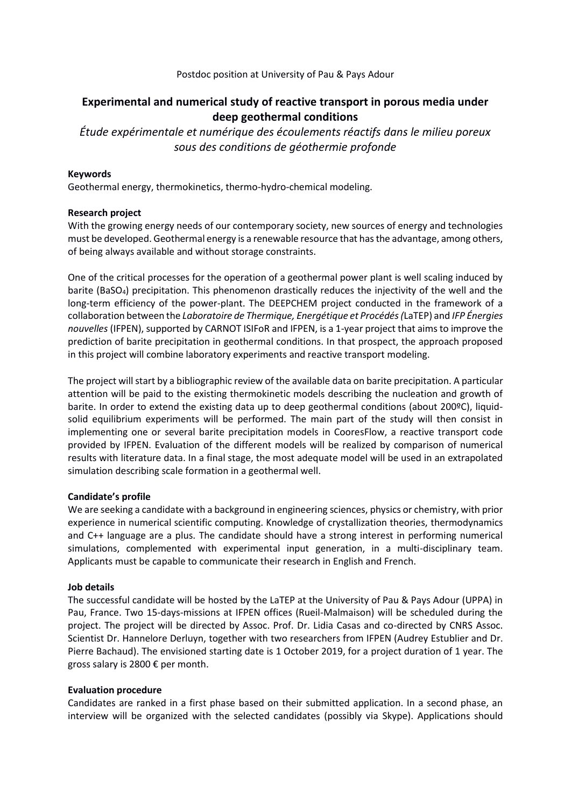## Postdoc position at University of Pau & Pays Adour

# **Experimental and numerical study of reactive transport in porous media under deep geothermal conditions**

*Étude expérimentale et numérique des écoulements réactifs dans le milieu poreux sous des conditions de géothermie profonde*

## **Keywords**

Geothermal energy, thermokinetics, thermo-hydro-chemical modeling.

### **Research project**

With the growing energy needs of our contemporary society, new sources of energy and technologies must be developed. Geothermal energy is a renewable resource that has the advantage, among others, of being always available and without storage constraints.

One of the critical processes for the operation of a geothermal power plant is well scaling induced by barite (BaSO<sub>4</sub>) precipitation. This phenomenon drastically reduces the injectivity of the well and the long-term efficiency of the power-plant. The DEEPCHEM project conducted in the framework of a collaboration between the *Laboratoire de Thermique, Energétique et Procédés (*LaTEP) and *IFP Énergies nouvelles* (IFPEN), supported by CARNOT ISIFoR and IFPEN, is a 1-year project that aims to improve the prediction of barite precipitation in geothermal conditions. In that prospect, the approach proposed in this project will combine laboratory experiments and reactive transport modeling.

The project will start by a bibliographic review of the available data on barite precipitation. A particular attention will be paid to the existing thermokinetic models describing the nucleation and growth of barite. In order to extend the existing data up to deep geothermal conditions (about 200ºC), liquidsolid equilibrium experiments will be performed. The main part of the study will then consist in implementing one or several barite precipitation models in CooresFlow, a reactive transport code provided by IFPEN. Evaluation of the different models will be realized by comparison of numerical results with literature data. In a final stage, the most adequate model will be used in an extrapolated simulation describing scale formation in a geothermal well.

## **Candidate's profile**

We are seeking a candidate with a background in engineering sciences, physics or chemistry, with prior experience in numerical scientific computing. Knowledge of crystallization theories, thermodynamics and C++ language are a plus. The candidate should have a strong interest in performing numerical simulations, complemented with experimental input generation, in a multi-disciplinary team. Applicants must be capable to communicate their research in English and French.

#### **Job details**

The successful candidate will be hosted by the LaTEP at the University of Pau & Pays Adour (UPPA) in Pau, France. Two 15-days-missions at IFPEN offices (Rueil-Malmaison) will be scheduled during the project. The project will be directed by Assoc. Prof. Dr. Lidia Casas and co-directed by CNRS Assoc. Scientist Dr. Hannelore Derluyn, together with two researchers from IFPEN (Audrey Estublier and Dr. Pierre Bachaud). The envisioned starting date is 1 October 2019, for a project duration of 1 year. The gross salary is 2800 € per month.

#### **Evaluation procedure**

Candidates are ranked in a first phase based on their submitted application. In a second phase, an interview will be organized with the selected candidates (possibly via Skype). Applications should